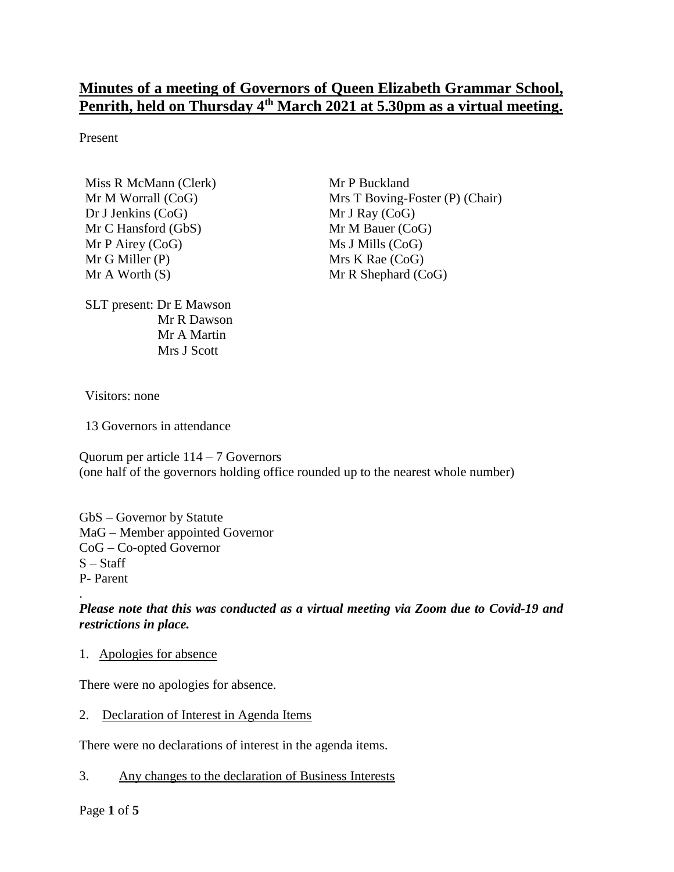# **Minutes of a meeting of Governors of Queen Elizabeth Grammar School, Penrith, held on Thursday 4 th March 2021 at 5.30pm as a virtual meeting.**

Present

Miss R McMann (Clerk) Mr M Worrall (CoG) Dr J Jenkins (CoG) Mr C Hansford (GbS) Mr P Airey (CoG) Mr G Miller (P) Mr A Worth (S)

SLT present: Dr E Mawson Mr R Dawson Mr A Martin Mrs J Scott

Mr P Buckland Mrs T Boving-Foster (P) (Chair) Mr J Ray (CoG) Mr M Bauer (CoG) Ms J Mills (CoG) Mrs K Rae (CoG) Mr R Shephard (CoG)

Visitors: none

13 Governors in attendance

Quorum per article 114 – 7 Governors (one half of the governors holding office rounded up to the nearest whole number)

GbS – Governor by Statute MaG – Member appointed Governor CoG – Co-opted Governor  $S - Staff$ P- Parent

*Please note that this was conducted as a virtual meeting via Zoom due to Covid-19 and restrictions in place.*

1. Apologies for absence

There were no apologies for absence.

2. Declaration of Interest in Agenda Items

There were no declarations of interest in the agenda items.

3. Any changes to the declaration of Business Interests

Page **1** of **5**

.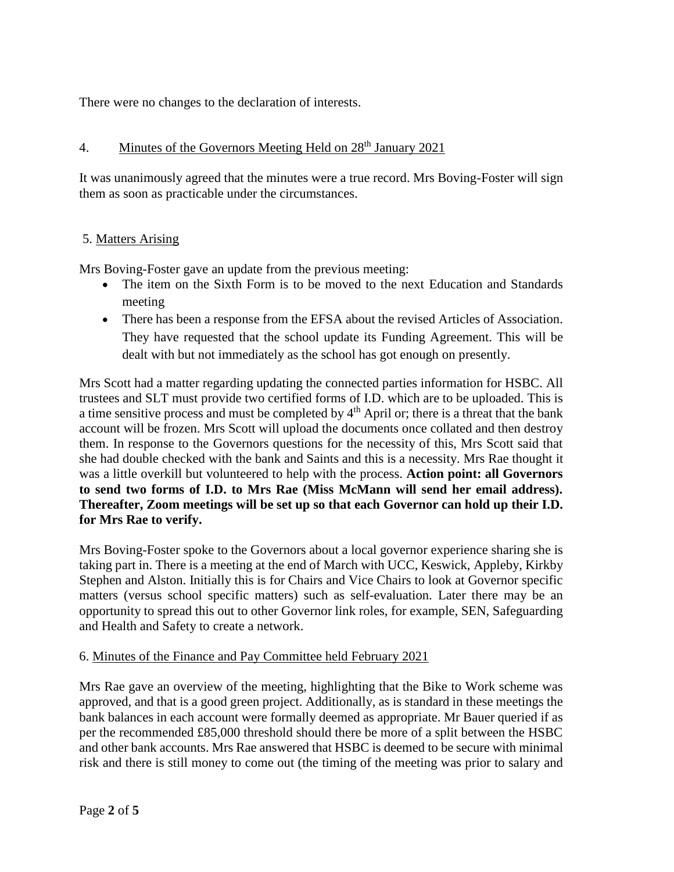There were no changes to the declaration of interests.

# 4. Minutes of the Governors Meeting Held on 28<sup>th</sup> January 2021

It was unanimously agreed that the minutes were a true record. Mrs Boving-Foster will sign them as soon as practicable under the circumstances.

## 5. Matters Arising

Mrs Boving-Foster gave an update from the previous meeting:

- The item on the Sixth Form is to be moved to the next Education and Standards meeting
- There has been a response from the EFSA about the revised Articles of Association. They have requested that the school update its Funding Agreement. This will be dealt with but not immediately as the school has got enough on presently.

Mrs Scott had a matter regarding updating the connected parties information for HSBC. All trustees and SLT must provide two certified forms of I.D. which are to be uploaded. This is a time sensitive process and must be completed by  $4<sup>th</sup>$  April or; there is a threat that the bank account will be frozen. Mrs Scott will upload the documents once collated and then destroy them. In response to the Governors questions for the necessity of this, Mrs Scott said that she had double checked with the bank and Saints and this is a necessity. Mrs Rae thought it was a little overkill but volunteered to help with the process. **Action point: all Governors to send two forms of I.D. to Mrs Rae (Miss McMann will send her email address). Thereafter, Zoom meetings will be set up so that each Governor can hold up their I.D. for Mrs Rae to verify.** 

Mrs Boving-Foster spoke to the Governors about a local governor experience sharing she is taking part in. There is a meeting at the end of March with UCC, Keswick, Appleby, Kirkby Stephen and Alston. Initially this is for Chairs and Vice Chairs to look at Governor specific matters (versus school specific matters) such as self-evaluation. Later there may be an opportunity to spread this out to other Governor link roles, for example, SEN, Safeguarding and Health and Safety to create a network.

## 6. Minutes of the Finance and Pay Committee held February 2021

Mrs Rae gave an overview of the meeting, highlighting that the Bike to Work scheme was approved, and that is a good green project. Additionally, as is standard in these meetings the bank balances in each account were formally deemed as appropriate. Mr Bauer queried if as per the recommended £85,000 threshold should there be more of a split between the HSBC and other bank accounts. Mrs Rae answered that HSBC is deemed to be secure with minimal risk and there is still money to come out (the timing of the meeting was prior to salary and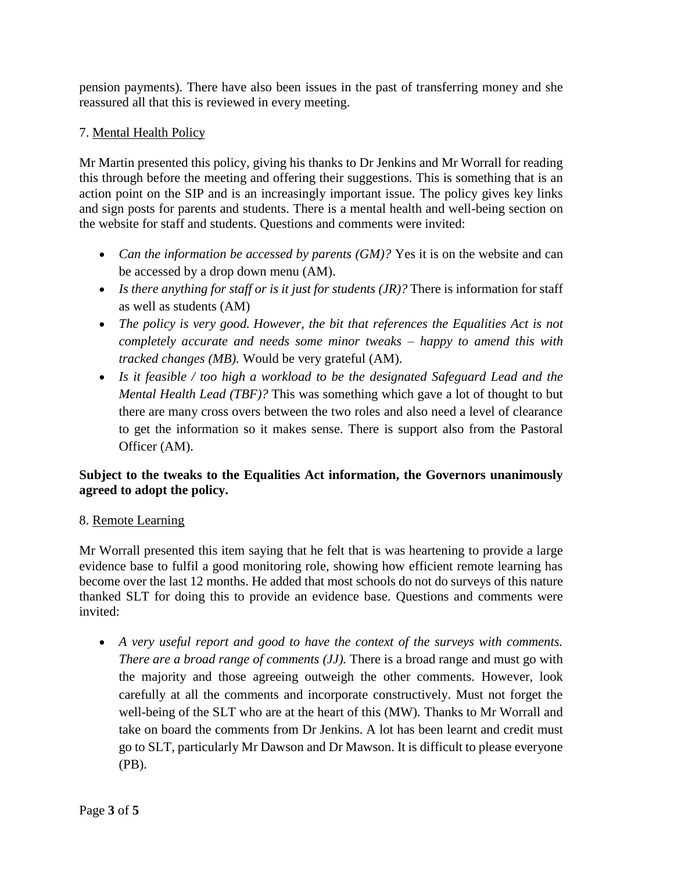pension payments). There have also been issues in the past of transferring money and she reassured all that this is reviewed in every meeting.

## 7. Mental Health Policy

Mr Martin presented this policy, giving his thanks to Dr Jenkins and Mr Worrall for reading this through before the meeting and offering their suggestions. This is something that is an action point on the SIP and is an increasingly important issue. The policy gives key links and sign posts for parents and students. There is a mental health and well-being section on the website for staff and students. Questions and comments were invited:

- *Can the information be accessed by parents (GM)?* Yes it is on the website and can be accessed by a drop down menu (AM).
- *Is there anything for staff or is it just for students (JR)?* There is information for staff as well as students (AM)
- *The policy is very good. However, the bit that references the Equalities Act is not completely accurate and needs some minor tweaks – happy to amend this with tracked changes (MB).* Would be very grateful (AM).
- *Is it feasible / too high a workload to be the designated Safeguard Lead and the Mental Health Lead (TBF)?* This was something which gave a lot of thought to but there are many cross overs between the two roles and also need a level of clearance to get the information so it makes sense. There is support also from the Pastoral Officer (AM).

## **Subject to the tweaks to the Equalities Act information, the Governors unanimously agreed to adopt the policy.**

## 8. Remote Learning

Mr Worrall presented this item saying that he felt that is was heartening to provide a large evidence base to fulfil a good monitoring role, showing how efficient remote learning has become over the last 12 months. He added that most schools do not do surveys of this nature thanked SLT for doing this to provide an evidence base. Questions and comments were invited:

 *A very useful report and good to have the context of the surveys with comments. There are a broad range of comments (JJ).* There is a broad range and must go with the majority and those agreeing outweigh the other comments. However, look carefully at all the comments and incorporate constructively. Must not forget the well-being of the SLT who are at the heart of this (MW). Thanks to Mr Worrall and take on board the comments from Dr Jenkins. A lot has been learnt and credit must go to SLT, particularly Mr Dawson and Dr Mawson. It is difficult to please everyone (PB).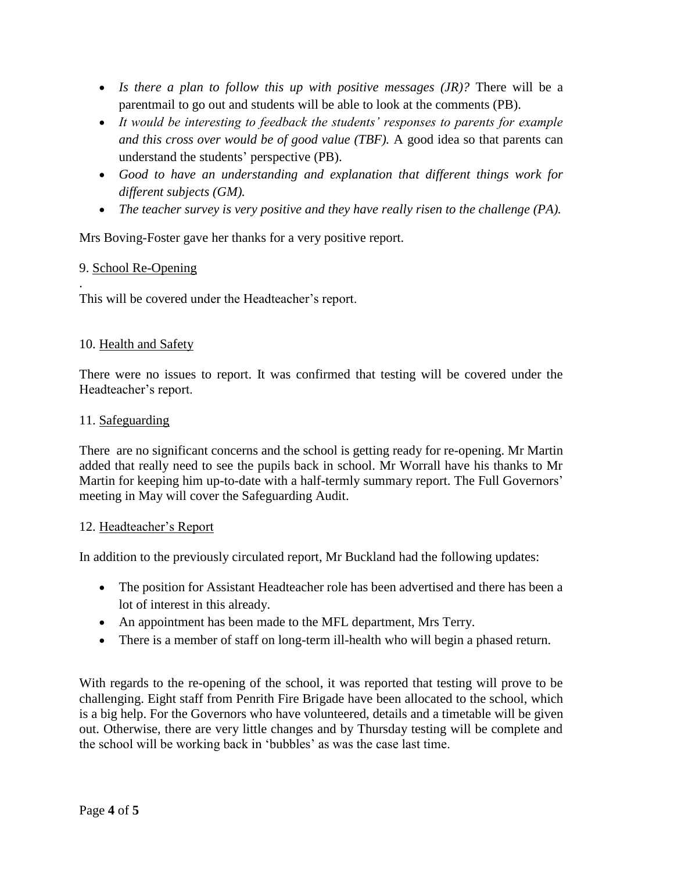- *Is there a plan to follow this up with positive messages (JR)?* There will be a parentmail to go out and students will be able to look at the comments (PB).
- *It would be interesting to feedback the students' responses to parents for example and this cross over would be of good value (TBF).* A good idea so that parents can understand the students' perspective (PB).
- *Good to have an understanding and explanation that different things work for different subjects (GM).*
- *The teacher survey is very positive and they have really risen to the challenge (PA).*

Mrs Boving-Foster gave her thanks for a very positive report.

# 9. School Re-Opening

. This will be covered under the Headteacher's report.

## 10. Health and Safety

There were no issues to report. It was confirmed that testing will be covered under the Headteacher's report.

#### 11. Safeguarding

There are no significant concerns and the school is getting ready for re-opening. Mr Martin added that really need to see the pupils back in school. Mr Worrall have his thanks to Mr Martin for keeping him up-to-date with a half-termly summary report. The Full Governors' meeting in May will cover the Safeguarding Audit.

#### 12. Headteacher's Report

In addition to the previously circulated report, Mr Buckland had the following updates:

- The position for Assistant Headteacher role has been advertised and there has been a lot of interest in this already.
- An appointment has been made to the MFL department, Mrs Terry.
- There is a member of staff on long-term ill-health who will begin a phased return.

With regards to the re-opening of the school, it was reported that testing will prove to be challenging. Eight staff from Penrith Fire Brigade have been allocated to the school, which is a big help. For the Governors who have volunteered, details and a timetable will be given out. Otherwise, there are very little changes and by Thursday testing will be complete and the school will be working back in 'bubbles' as was the case last time.